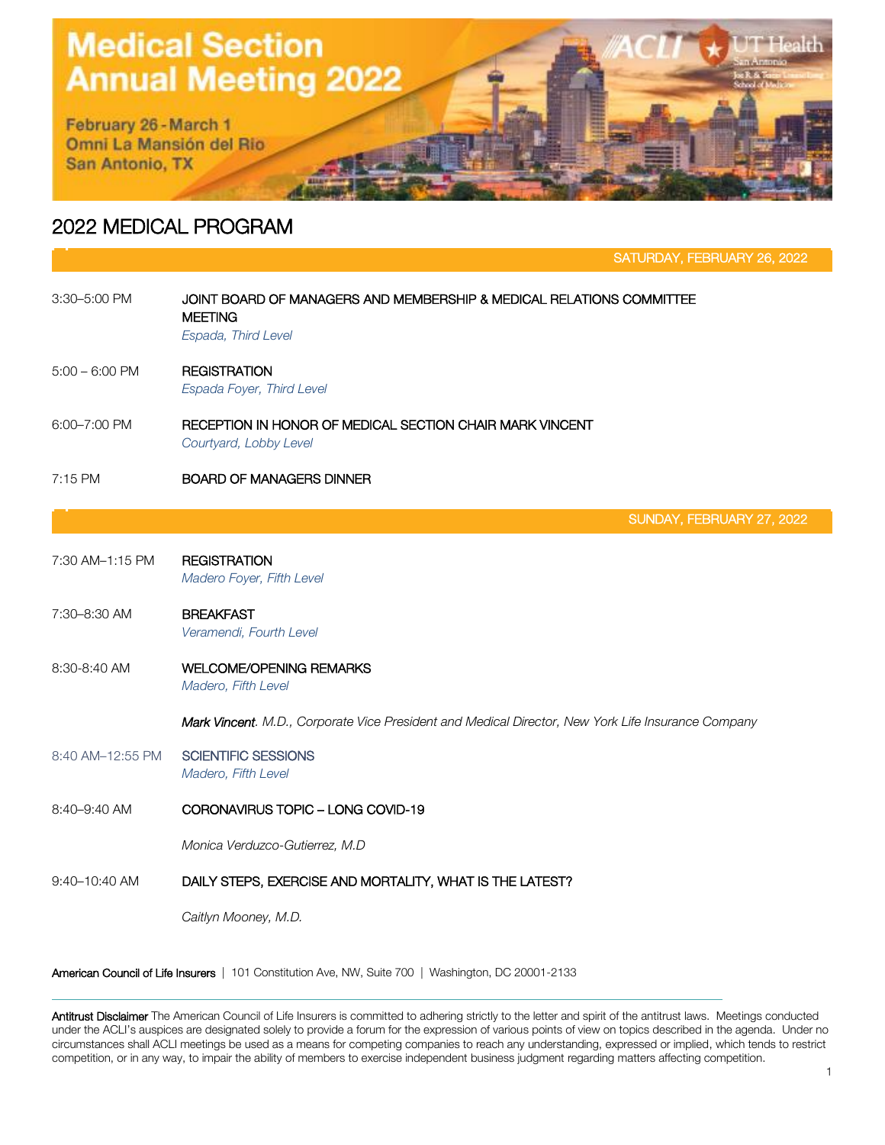## **Medical Section Annual Meeting 2022**

February 26 - March 1 Omni La Mansión del Rio San Antonio, TX

## 2022 MEDICAL PROGRAM

SATURDAY, FEBRUARY 26, 2022

| 3:30-5:00 PM     | JOINT BOARD OF MANAGERS AND MEMBERSHIP & MEDICAL RELATIONS COMMITTEE<br><b>MEETING</b><br>Espada, Third Level |  |  |
|------------------|---------------------------------------------------------------------------------------------------------------|--|--|
| $5:00 - 6:00$ PM | <b>REGISTRATION</b><br>Espada Foyer, Third Level                                                              |  |  |
| 6:00-7:00 PM     | RECEPTION IN HONOR OF MEDICAL SECTION CHAIR MARK VINCENT<br>Courtyard, Lobby Level                            |  |  |
| 7:15 PM          | <b>BOARD OF MANAGERS DINNER</b>                                                                               |  |  |
|                  | SUNDAY, FEBRUARY 27, 2022                                                                                     |  |  |
| 7:30 AM-1:15 PM  | <b>REGISTRATION</b><br>Madero Foyer, Fifth Level                                                              |  |  |
| 7:30-8:30 AM     | <b>BREAKFAST</b><br>Veramendi, Fourth Level                                                                   |  |  |
| 8:30-8:40 AM     | <b>WELCOME/OPENING REMARKS</b><br>Madero, Fifth Level                                                         |  |  |
|                  | Mark Vincent. M.D., Corporate Vice President and Medical Director, New York Life Insurance Company            |  |  |
| 8:40 AM-12:55 PM | <b>SCIENTIFIC SESSIONS</b><br>Madero, Fifth Level                                                             |  |  |
| 8:40-9:40 AM     | CORONAVIRUS TOPIC - LONG COVID-19                                                                             |  |  |
|                  | Monica Verduzco-Gutierrez, M.D                                                                                |  |  |
| 9:40-10:40 AM    | DAILY STEPS, EXERCISE AND MORTALITY, WHAT IS THE LATEST?                                                      |  |  |
|                  | Caitlyn Mooney, M.D.                                                                                          |  |  |

American Council of Life Insurers | 101 Constitution Ave, NW, Suite 700 | Washington, DC 20001-2133

**Antitrust Disclaimer** The American Council of Life Insurers is committed to adhering strictly to the letter and spirit of the antitrust laws. Meetings conducted under the ACLI's auspices are designated solely to provide a forum for the expression of various points of view on topics described in the agenda. Under no circumstances shall ACLI meetings be used as a means for competing companies to reach any understanding, expressed or implied, which tends to restrict competition, or in any way, to impair the ability of members to exercise independent business judgment regarding matters affecting competition.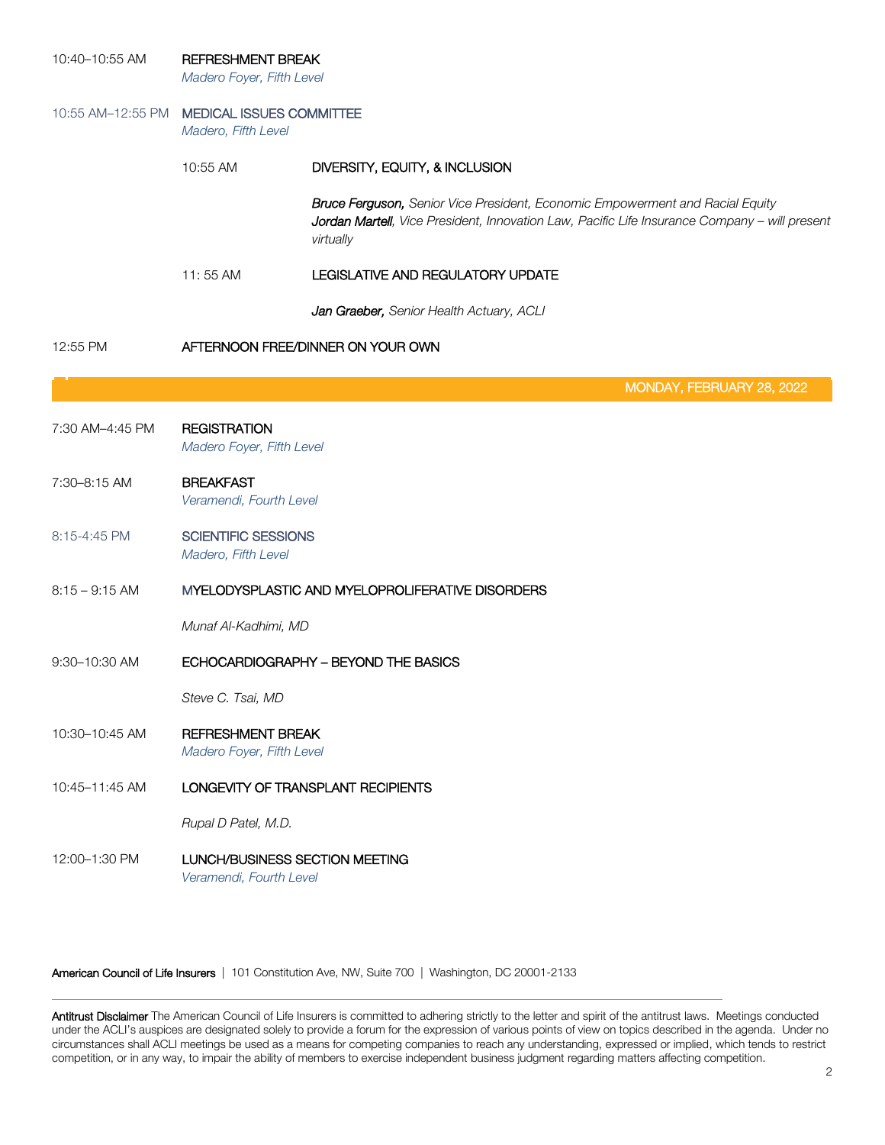| 10:40-10:55 AM   | <b>REFRESHMENT BREAK</b><br>Madero Foyer, Fifth Level             |                                                                                                                                                                                             |  |
|------------------|-------------------------------------------------------------------|---------------------------------------------------------------------------------------------------------------------------------------------------------------------------------------------|--|
|                  | 10:55 AM-12:55 PM MEDICAL ISSUES COMMITTEE<br>Madero, Fifth Level |                                                                                                                                                                                             |  |
|                  | 10:55 AM                                                          | DIVERSITY, EQUITY, & INCLUSION                                                                                                                                                              |  |
|                  |                                                                   | Bruce Ferguson, Senior Vice President, Economic Empowerment and Racial Equity<br>Jordan Martell, Vice President, Innovation Law, Pacific Life Insurance Company - will present<br>virtually |  |
|                  | 11:55 AM                                                          | LEGISLATIVE AND REGULATORY UPDATE                                                                                                                                                           |  |
|                  |                                                                   | Jan Graeber, Senior Health Actuary, ACLI                                                                                                                                                    |  |
| 12:55 PM         | AFTERNOON FREE/DINNER ON YOUR OWN                                 |                                                                                                                                                                                             |  |
|                  |                                                                   | MONDAY, FEBRUARY 28, 2022                                                                                                                                                                   |  |
| 7:30 AM-4:45 PM  | <b>REGISTRATION</b><br>Madero Foyer, Fifth Level                  |                                                                                                                                                                                             |  |
| 7:30-8:15 AM     | <b>BREAKFAST</b><br>Veramendi, Fourth Level                       |                                                                                                                                                                                             |  |
| 8:15-4:45 PM     | <b>SCIENTIFIC SESSIONS</b><br>Madero, Fifth Level                 |                                                                                                                                                                                             |  |
| $8:15 - 9:15$ AM | MYELODYSPLASTIC AND MYELOPROLIFERATIVE DISORDERS                  |                                                                                                                                                                                             |  |
|                  | Munaf Al-Kadhimi, MD                                              |                                                                                                                                                                                             |  |
| 9:30-10:30 AM    | ECHOCARDIOGRAPHY - BEYOND THE BASICS                              |                                                                                                                                                                                             |  |
|                  | Steve C. Tsai, MD                                                 |                                                                                                                                                                                             |  |
| 10:30-10:45 AM   | <b>REFRESHMENT BREAK</b><br>Madero Foyer, Fifth Level             |                                                                                                                                                                                             |  |
| 10:45-11:45 AM   | LONGEVITY OF TRANSPLANT RECIPIENTS                                |                                                                                                                                                                                             |  |
|                  | Rupal D Patel, M.D.                                               |                                                                                                                                                                                             |  |
| 12:00-1:30 PM    | LUNCH/BUSINESS SECTION MEETING<br>Veramendi, Fourth Level         |                                                                                                                                                                                             |  |

American Council of Life Insurers | 101 Constitution Ave, NW, Suite 700 | Washington, DC 20001-2133

**Antitrust Disclaimer** The American Council of Life Insurers is committed to adhering strictly to the letter and spirit of the antitrust laws. Meetings conducted under the ACLI's auspices are designated solely to provide a forum for the expression of various points of view on topics described in the agenda. Under no circumstances shall ACLI meetings be used as a means for competing companies to reach any understanding, expressed or implied, which tends to restrict competition, or in any way, to impair the ability of members to exercise independent business judgment regarding matters affecting competition.